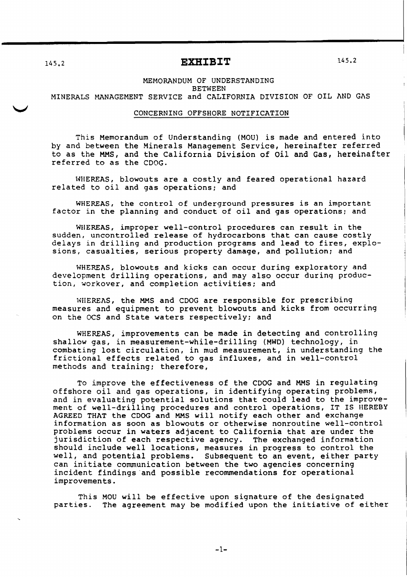## 145.2 **EXHIBIT**

145.2

## MEMORANDUM OF UNDERSTANDING **BETWEEN** MINERALS MANAGEMENT SERVICE and CALIFORNIA DIVISION OF OIL AND GAS

## CONCERNING OFFSHORE NOTIFICATION

This Memorandum of Understanding (MOU) is made and entered into by and between the Minerals Management Service, hereinafter referred to as the MMS, and the California Division of oil and Gas, hereinafter referred to as the CDOG.

WHEREAS, blowouts are a costly and feared operational hazard related to oil and gas operations: and

WHEREAS, the control of underground pressures is an important factor in the planning and conduct of oil and gas operations; and

WHEREAS, improper well-control procedures can result in the sudden, uncontrolled release of hydrocarbons that can cause costly delays in drilling and production programs and lead to fires, explosions, casualties, serious property damage, and pollution; and

WHEREAS, blowouts and kicks can occur during exploratory and development drilling operations, and may also occur during production, workover, and completion activities: and

WHEREAS, the MMS and CDOG are responsible for prescribing measures and equipment to prevent blowouts and kicks from occurring on the OCS and State waters respectively: and

WHEREAS, improvements can be made in detecting and controlling shallow gas, in measurement-while-drilling (MWD) technology, in combating lost circulation, in mud measurement, in understanding the frictional effects related to gas influxes, and in well-control methods and training: therefore,

To improve the effectiveness of the CDOG and MMS in regulating offshore oil and gas operations, in identifying operating problems, and in evaluating potential solutions that could lead to the improvement of well-drilling procedures and control operations, IT IS HEREBY AGREED THAT the CDOG and MMS will notify each other and exchange information as soon as blowouts or otherwise nonroutine well-control problems occur in waters adjacent to California that are under the jurisdiction of each respective agency. The exchanged information jurisdiction of each respective agency. should include well locations, measures in progress to control the well, and potential problems. Subsequent to an event, either party can initiate communication between the two agencies concerning incident findings and possible recommendations for operational improvements.

This MOU will be effective upon signature of the designated parties. The agreement may be modified upon the initiative of either